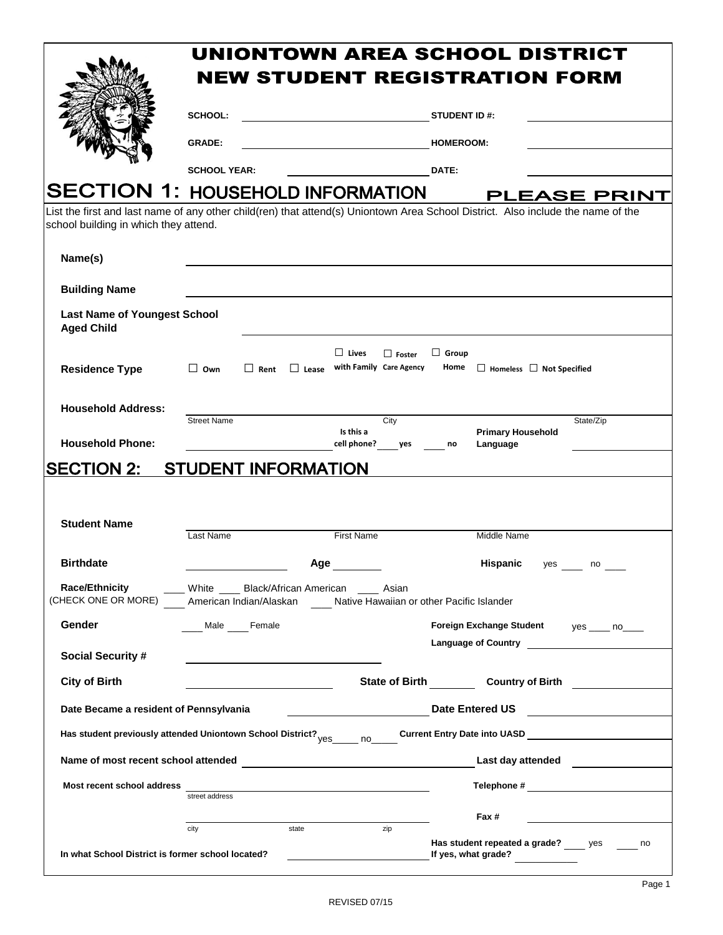|                                                                                                                                                                           |                                                                     | UNIONTOWN AREA SCHOOL DISTRICT |              |                                                                                             |               |                      |                                         |                     |
|---------------------------------------------------------------------------------------------------------------------------------------------------------------------------|---------------------------------------------------------------------|--------------------------------|--------------|---------------------------------------------------------------------------------------------|---------------|----------------------|-----------------------------------------|---------------------|
|                                                                                                                                                                           | <b>NEW STUDENT REGISTRATION FORM</b>                                |                                |              |                                                                                             |               |                      |                                         |                     |
|                                                                                                                                                                           | <b>SCHOOL:</b><br><u> 1980 - Johann Barnett, fransk politiker (</u> |                                |              | <b>STUDENT ID#:</b>                                                                         |               |                      |                                         |                     |
|                                                                                                                                                                           | <b>GRADE:</b>                                                       |                                |              |                                                                                             |               | <b>HOMEROOM:</b>     |                                         |                     |
|                                                                                                                                                                           | <b>SCHOOL YEAR:</b>                                                 |                                |              |                                                                                             |               | DATE:                |                                         |                     |
| <b>SECTION 1: HOUSEHOLD INFORMATION</b>                                                                                                                                   |                                                                     |                                |              |                                                                                             |               |                      |                                         | <b>PLEASE PRINT</b> |
| List the first and last name of any other child(ren) that attend(s) Uniontown Area School District. Also include the name of the<br>school building in which they attend. |                                                                     |                                |              |                                                                                             |               |                      |                                         |                     |
| Name(s)                                                                                                                                                                   |                                                                     |                                |              |                                                                                             |               |                      |                                         |                     |
| <b>Building Name</b>                                                                                                                                                      |                                                                     |                                |              |                                                                                             |               |                      |                                         |                     |
| <b>Last Name of Youngest School</b><br><b>Aged Child</b>                                                                                                                  |                                                                     |                                |              |                                                                                             |               |                      |                                         |                     |
| <b>Residence Type</b>                                                                                                                                                     | $\Box$ Own                                                          | $\Box$ Rent                    | $\Box$ Lease | $\Box$ Lives<br>with Family Care Agency                                                     | $\Box$ Foster | $\Box$ Group<br>Home | $\Box$ Homeless $\Box$ Not Specified    |                     |
| <b>Household Address:</b>                                                                                                                                                 |                                                                     |                                |              |                                                                                             |               |                      |                                         |                     |
| <b>Household Phone:</b>                                                                                                                                                   | <b>Street Name</b>                                                  |                                |              | Is this a<br>cell phone? yes                                                                | City          |                      | <b>Primary Household</b>                | State/Zip           |
|                                                                                                                                                                           |                                                                     |                                |              |                                                                                             |               | no                   | Language                                |                     |
| <b>SECTION 2:</b>                                                                                                                                                         | <b>STUDENT INFORMATION</b>                                          |                                |              |                                                                                             |               |                      |                                         |                     |
|                                                                                                                                                                           |                                                                     |                                |              |                                                                                             |               |                      |                                         |                     |
| <b>Student Name</b>                                                                                                                                                       | Last Name                                                           |                                |              | <b>First Name</b>                                                                           |               |                      | Middle Name                             |                     |
| <b>Birthdate</b>                                                                                                                                                          |                                                                     |                                | Age          |                                                                                             |               |                      | Hispanic<br>yes                         | no                  |
| <b>Race/Ethnicity</b><br>(CHECK ONE OR MORE)                                                                                                                              |                                                                     | American Indian/Alaskan        |              | White _____ Black/African American _____ Asian<br>Native Hawaiian or other Pacific Islander |               |                      |                                         |                     |
| Gender                                                                                                                                                                    |                                                                     | Male Female                    |              |                                                                                             |               |                      | Foreign Exchange Student yes ____ no___ |                     |
| <b>Social Security #</b>                                                                                                                                                  |                                                                     |                                |              |                                                                                             |               |                      |                                         |                     |
| <b>City of Birth</b>                                                                                                                                                      |                                                                     |                                |              |                                                                                             |               |                      | State of Birth Country of Birth         |                     |
| Date Became a resident of Pennsylvania                                                                                                                                    |                                                                     |                                |              |                                                                                             |               |                      | Date Entered US ________________        |                     |
|                                                                                                                                                                           |                                                                     |                                |              |                                                                                             |               |                      |                                         |                     |
| Has student previously attended Uniontown School District? <sub>Ves</sub> no Current Entry Date into UASD Current Entry Date into UASD                                    |                                                                     |                                |              |                                                                                             |               |                      |                                         |                     |
| Name of most recent school attended                                                                                                                                       |                                                                     |                                |              |                                                                                             |               |                      | Last day attended <b>Example 20</b>     |                     |
| Most recent school address                                                                                                                                                |                                                                     |                                |              | <u> 1989 - Johann Stein, fransk politik (</u>                                               |               |                      |                                         |                     |
|                                                                                                                                                                           | street address                                                      |                                |              |                                                                                             |               |                      | Fax #                                   |                     |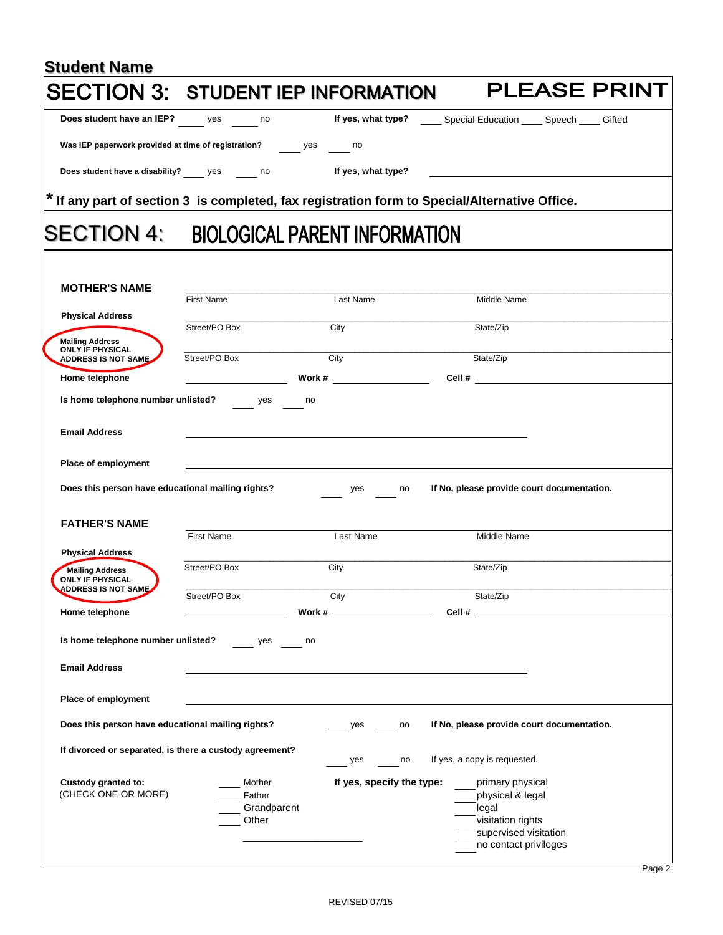| <b>Student Name</b>                                                             |                       |                                                                                                             |                                                |                                                                                                                |
|---------------------------------------------------------------------------------|-----------------------|-------------------------------------------------------------------------------------------------------------|------------------------------------------------|----------------------------------------------------------------------------------------------------------------|
|                                                                                 |                       | <b>SECTION 3: STUDENT IEP INFORMATION</b>                                                                   |                                                | <b>PLEASE PRINT</b>                                                                                            |
| Does student have an IEP? yes no                                                |                       | If yes, what type? ______ Special Education _____ Speech _____ Gifted                                       |                                                |                                                                                                                |
| Was IEP paperwork provided at time of registration? Wes                         |                       | no no                                                                                                       |                                                |                                                                                                                |
| Does student have a disability? ______ yes _______ no                           |                       | If yes, what type?                                                                                          |                                                |                                                                                                                |
|                                                                                 |                       | $^{\star}$ If any part of section 3 $\,$ is completed, fax registration form to Special/Alternative Office. |                                                |                                                                                                                |
| <b>ISECTION 4:</b>                                                              |                       | <b>BIOLOGICAL PARENT INFORMATION</b>                                                                        |                                                |                                                                                                                |
| <b>MOTHER'S NAME</b>                                                            |                       |                                                                                                             |                                                |                                                                                                                |
|                                                                                 | <b>First Name</b>     | Last Name                                                                                                   | Middle Name                                    |                                                                                                                |
| <b>Physical Address</b>                                                         | Street/PO Box         | City                                                                                                        | State/Zip                                      |                                                                                                                |
| <b>Mailing Address</b><br><b>ONLY IF PHYSICAL</b><br><b>ADDRESS IS NOT SAME</b> | Street/PO Box         | City                                                                                                        | State/Zip                                      |                                                                                                                |
| Home telephone                                                                  |                       | Work #                                                                                                      |                                                | Cell # 2009 and 2009 and 2009 and 2009 and 2009 and 2009 and 2009 and 2009 and 2009 and 2009 and 2009 and 2009 |
| Is home telephone number unlisted?                                              | yes                   | no                                                                                                          |                                                |                                                                                                                |
| <b>Email Address</b>                                                            |                       |                                                                                                             |                                                |                                                                                                                |
|                                                                                 |                       |                                                                                                             |                                                |                                                                                                                |
| Place of employment                                                             |                       |                                                                                                             |                                                |                                                                                                                |
| Does this person have educational mailing rights?                               |                       | yes<br>no                                                                                                   | If No, please provide court documentation.     |                                                                                                                |
|                                                                                 |                       |                                                                                                             |                                                |                                                                                                                |
| <b>FATHER'S NAME</b>                                                            | <b>First Name</b>     | Last Name                                                                                                   | Middle Name                                    |                                                                                                                |
| <b>Physical Address</b>                                                         |                       |                                                                                                             |                                                |                                                                                                                |
| <b>Mailing Address</b><br><b>ONLY IF PHYSICAL</b>                               | Street/PO Box         | City                                                                                                        | State/Zip                                      |                                                                                                                |
| <b>ADDRESS IS NOT SAME.</b>                                                     | Street/PO Box         | City                                                                                                        | State/Zip                                      |                                                                                                                |
| Home telephone                                                                  |                       | Work #                                                                                                      | Cell #                                         |                                                                                                                |
| Is home telephone number unlisted?                                              | yes                   | no                                                                                                          |                                                |                                                                                                                |
| <b>Email Address</b>                                                            |                       |                                                                                                             |                                                |                                                                                                                |
| Place of employment                                                             |                       |                                                                                                             |                                                |                                                                                                                |
| Does this person have educational mailing rights?                               |                       | yes<br>no                                                                                                   | If No, please provide court documentation.     |                                                                                                                |
|                                                                                 |                       |                                                                                                             |                                                |                                                                                                                |
| If divorced or separated, is there a custody agreement?                         |                       | yes<br>no                                                                                                   | If yes, a copy is requested.                   |                                                                                                                |
| Custody granted to:                                                             | Mother                | If yes, specify the type:                                                                                   | primary physical                               |                                                                                                                |
| (CHECK ONE OR MORE)                                                             | Father<br>Grandparent |                                                                                                             | physical & legal<br>legal                      |                                                                                                                |
|                                                                                 | Other                 |                                                                                                             | visitation rights                              |                                                                                                                |
|                                                                                 |                       |                                                                                                             | supervised visitation<br>no contact privileges |                                                                                                                |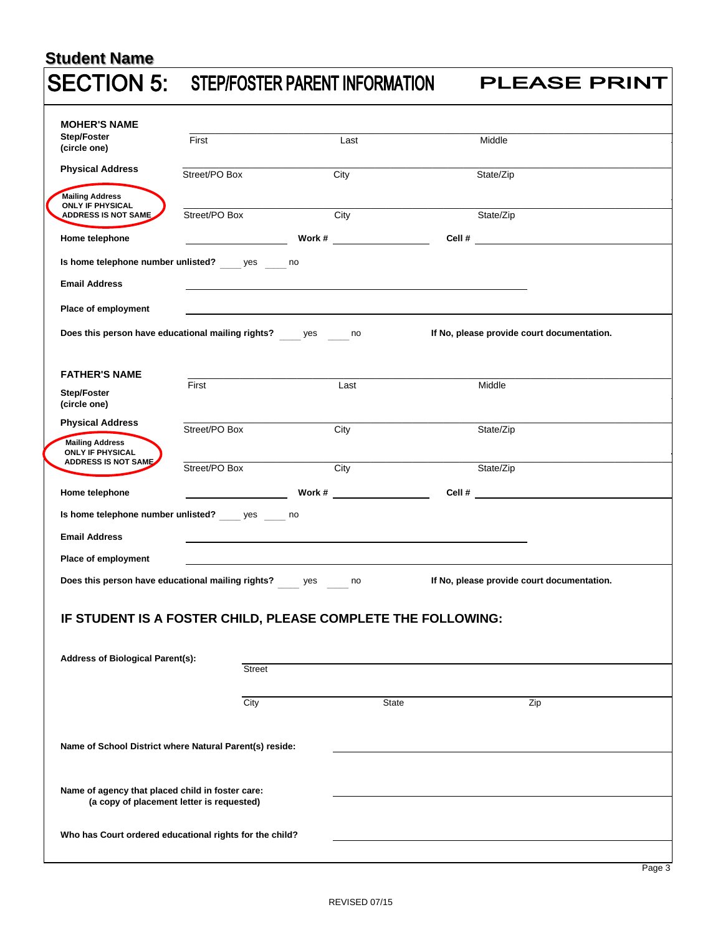## **Student Name SECTION 5: STEP/FOSTER PARENT INFORMATION**

**MOHER'S NAME Step/Foster** (circle one) **Mailing Address Mailing Address** Street/Po Box City Street/Po Box City State (2001) 2014 12:00:00 Po Box City State (2001) 2014 **Home telephone Work # Work # Cell # Cell # Is home telephone number unlisted?** \_\_\_\_\_ yes \_\_\_\_\_ no **Email Address Place of employment** Does this person have educational mailing rights? \_\_\_\_\_yes \_\_\_\_\_no If No, please provide court documentation. **FATHER'S NAME Step/Foster**  (circle one) **Mailing Address ONLY IF PHYSICAL** Street/Po Box City Street/Po Box City State / Street/Po Box City State / State/Zipy State/Zipy State/Zipy State **Home telephone work # Work # Cell # Cell # Is home telephone number unlisted? \_\_\_\_** yes \_\_\_\_\_ no **Email Address Place of employment** Does this person have educational mailing rights? \_\_\_\_\_\_ yes \_\_\_\_\_\_ no If No, please provide court documentation. **IF STUDENT IS A FOSTER CHILD, PLEASE COMPLETE THE FOLLOWING: Address of Biological Parent(s): Street** City **State** State **Zip**  $\_$  ,  $\_$  ,  $\_$  ,  $\_$  ,  $\_$  ,  $\_$  ,  $\_$  ,  $\_$  ,  $\_$  ,  $\_$  ,  $\_$  ,  $\_$  ,  $\_$  ,  $\_$  ,  $\_$  ,  $\_$  ,  $\_$  ,  $\_$  ,  $\_$  ,  $\_$  ,  $\_$  ,  $\_$  ,  $\_$  ,  $\_$  ,  $\_$  ,  $\_$  ,  $\_$  ,  $\_$  ,  $\_$  ,  $\_$  ,  $\_$  ,  $\_$  ,  $\_$  ,  $\_$  ,  $\_$  ,  $\_$  ,  $\_$  , First **Contract Contract Contract Last** Contract Contract Contract Contract Contract Contract Contract Contract Contract Contract Contract Contract Contract Contract Contract Contract Contract Contract Contract Contract Co \_\_\_\_\_\_\_\_\_\_\_\_\_\_\_\_\_\_\_\_\_\_\_\_\_\_\_\_\_\_\_\_\_\_\_\_\_\_\_\_\_\_\_\_\_\_\_\_\_\_\_\_\_\_\_\_\_\_\_\_\_\_\_\_\_\_\_\_\_\_\_\_\_\_\_\_\_\_\_\_\_\_\_\_\_\_\_\_\_\_\_\_\_\_ **Physical Address City** Street/PO Box **City** City State/Zip **ONLY IF PHYSICAL ADDRESS IS NOT SAME ADDRESS IS NOT SAME Mailing Address** \_\_\_\_\_\_\_\_\_\_\_\_\_\_\_\_\_\_\_\_\_\_\_\_\_\_\_\_\_\_\_\_\_\_\_\_\_\_\_\_\_\_\_\_\_\_\_\_\_\_\_\_\_\_\_\_\_\_\_\_\_\_\_\_\_\_\_\_\_\_\_\_\_\_\_\_\_\_\_\_\_\_\_\_\_\_\_\_\_\_\_\_\_\_ Street/PO Box City City \_\_\_\_\_\_\_\_\_\_\_\_\_\_\_\_\_\_\_\_\_\_\_\_\_\_\_\_\_\_\_\_\_\_\_\_\_\_\_\_\_\_\_\_\_\_\_\_\_\_\_\_\_\_\_\_\_\_\_\_\_\_\_\_\_\_\_\_\_\_\_\_\_\_\_\_\_\_\_\_\_\_\_\_\_\_\_\_\_\_\_\_\_\_ **Physical Address City** Street/PO Box **City** City State/Zip  $\_$  ,  $\_$  ,  $\_$  ,  $\_$  ,  $\_$  ,  $\_$  ,  $\_$  ,  $\_$  ,  $\_$  ,  $\_$  ,  $\_$  ,  $\_$  ,  $\_$  ,  $\_$  ,  $\_$  ,  $\_$  ,  $\_$  ,  $\_$  ,  $\_$  ,  $\_$  ,  $\_$  ,  $\_$  ,  $\_$  ,  $\_$  ,  $\_$  ,  $\_$  ,  $\_$  ,  $\_$  ,  $\_$  ,  $\_$  ,  $\_$  ,  $\_$  ,  $\_$  ,  $\_$  ,  $\_$  ,  $\_$  ,  $\_$  , First **Example 2018** Last **Last** Contract **Middle**  $\_$  , and the set of the set of the set of the set of the set of the set of the set of the set of the set of the set of the set of the set of the set of the set of the set of the set of the set of the set of the set of th Street/PO Box City State/Zip

**Name of School District where Natural Parent(s) reside:**

**Name of agency that placed child in foster care: (a copy of placement letter is requested)**

**Who has Court ordered educational rights for the child?**

**PLEASE PRINT**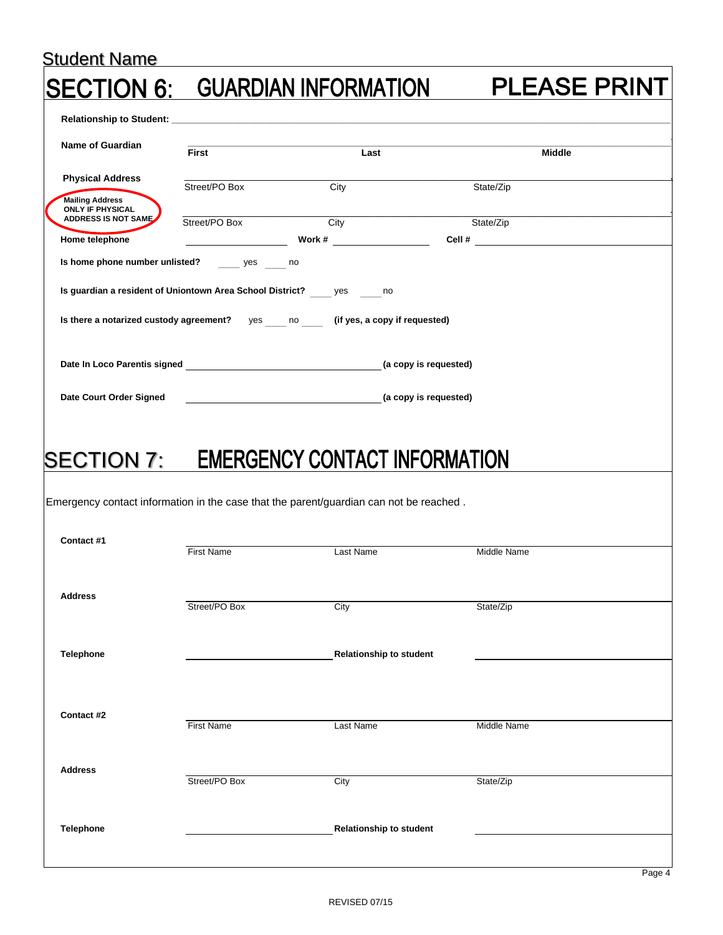## Student Name **PLEASE PRINT** ON 6: GUARDIAN INFORMATION **Relationship to Student: \_\_\_\_\_\_\_\_\_\_\_\_\_\_\_\_\_\_\_\_\_\_\_\_\_\_\_\_\_\_\_\_\_\_\_\_\_\_\_\_\_\_\_\_\_\_\_\_\_\_\_\_\_\_\_\_\_\_\_\_\_\_\_\_\_\_\_\_\_\_\_\_\_\_\_\_\_\_\_\_\_\_\_\_\_\_\_\_\_\_\_\_\_ Name of Guardian First Last Middle Physical Address** \_\_\_\_\_\_\_\_\_\_\_\_\_\_\_\_\_\_\_\_\_\_\_\_\_\_\_\_\_\_\_\_\_\_\_\_\_\_\_\_\_\_\_\_\_\_\_\_\_\_\_\_\_\_\_\_\_\_\_\_\_\_\_\_\_\_\_\_\_\_\_\_\_\_\_\_\_\_\_\_\_\_\_\_\_\_\_\_\_\_\_\_\_\_ Street/PO Box City City State/Zip **Mailing Address Mailing Address ONLY IF PHYSICAL**   $\_$  , and the set of the set of the set of the set of the set of the set of the set of the set of the set of the set of the set of the set of the set of the set of the set of the set of the set of the set of the set of th **ADDRESS IS NOT SAME** Street/PO Box City State/Zip Street/PO Box City State/Zip **Home telephone Cell # Work # Work # Cell # Is home phone number unlisted?** yes no  $y$ es **Is guardian a resident of Uniontown Area School District? \_\_\_\_\_** yes \_\_\_\_\_\_ no Is there a notarized custody agreement? yes \_\_\_\_\_\_ no \_\_\_\_\_\_\_\_ (if yes, a copy if requested) **(a copy is requested) Date In Loco Parentis signed Date Court Order Signed (a copy is requested)** SECTION 7: EMERGENCY CONTACT INFORMATION Emergency contact information in the case that the parent/guardian can not be reached . **Contact #1**  First Name Last Name Last Name Middle Name **Address** Street/PO Box City City State/Zip **Telephone Relationship to student Contact #2**  First Name Last Name Last Name Middle Name **Address** Street/PO Box City City State/Zip **Telephone Relationship to student**